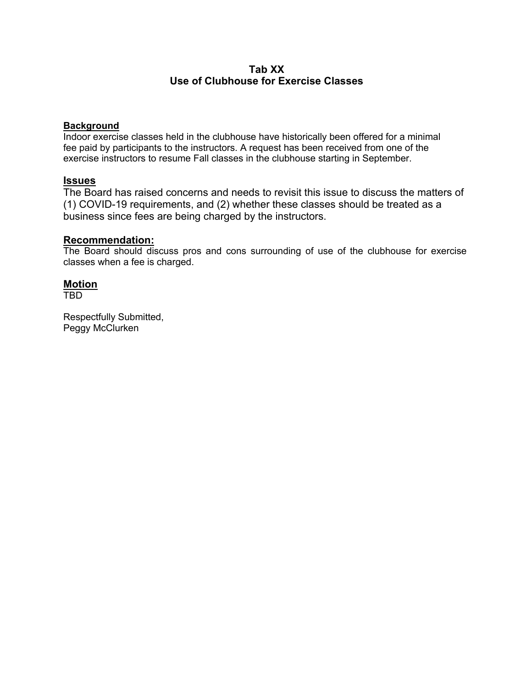# **Tab XX Use of Clubhouse for Exercise Classes**

### **Background**

Indoor exercise classes held in the clubhouse have historically been offered for a minimal fee paid by participants to the instructors. A request has been received from one of the exercise instructors to resume Fall classes in the clubhouse starting in September.

## **Issues**

The Board has raised concerns and needs to revisit this issue to discuss the matters of (1) COVID-19 requirements, and (2) whether these classes should be treated as a business since fees are being charged by the instructors.

### **Recommendation:**

The Board should discuss pros and cons surrounding of use of the clubhouse for exercise classes when a fee is charged.

## **Motion**

TBD

Respectfully Submitted, Peggy McClurken